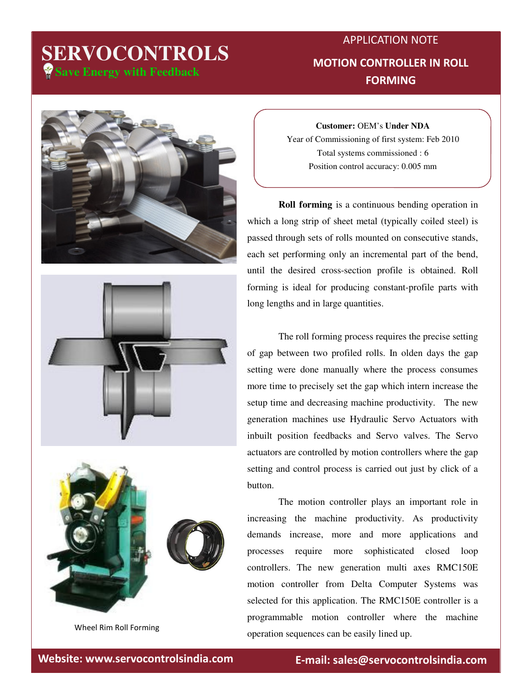# **Save Energy with Feedback SERVOCONTROLS**

### APPLICATION NOTE MOTION CONTROLLER IN ROLL FORMING







Wheel Rim Roll Forming

**Customer:** OEM's **Under NDA** Year of Commissioning of first system: Feb 2010 Total systems commissioned : 6 Position control accuracy: 0.005 mm

**Roll forming** is a continuous bending operation in which a long strip of sheet metal (typically coiled steel) is passed through sets of rolls mounted on consecutive stands, each set performing only an incremental part of the bend, until the desired cross-section profile is obtained. Roll forming is ideal for producing constant-profile parts with long lengths and in large quantities.

 The roll forming process requires the precise setting of gap between two profiled rolls. In olden days the gap setting were done manually where the process consumes more time to precisely set the gap which intern increase the setup time and decreasing machine productivity. The new generation machines use Hydraulic Servo Actuators with inbuilt position feedbacks and Servo valves. The Servo actuators are controlled by motion controllers where the gap setting and control process is carried out just by click of a button.

 The motion controller plays an important role in increasing the machine productivity. As productivity demands increase, more and more applications and processes require more sophisticated closed loop controllers. The new generation multi axes RMC150E motion controller from Delta Computer Systems was selected for this application. The RMC150E controller is a programmable motion controller where the machine operation sequences can be easily lined up.

Website: www.servocontrolsindia.com entity relationally sales@servocontrolsindia.com